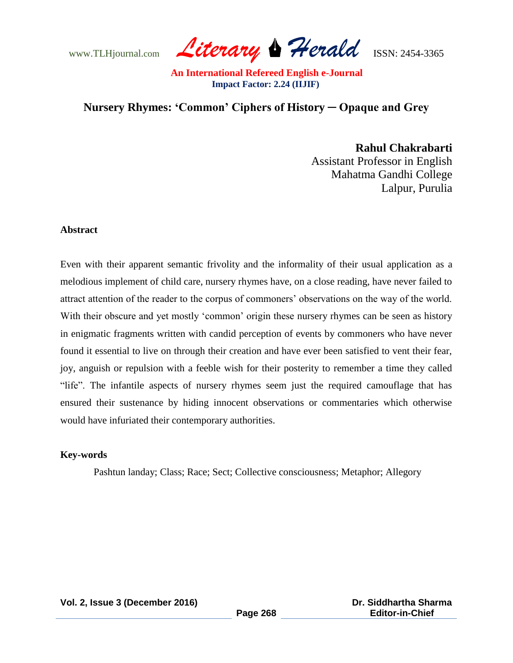www.TLHjournal.com *Literary Herald*ISSN: 2454-3365

# **Nursery Rhymes: 'Common' Ciphers of History ─ Opaque and Grey**

**Rahul Chakrabarti** Assistant Professor in English Mahatma Gandhi College Lalpur, Purulia

### **Abstract**

Even with their apparent semantic frivolity and the informality of their usual application as a melodious implement of child care, nursery rhymes have, on a close reading, have never failed to attract attention of the reader to the corpus of commoners" observations on the way of the world. With their obscure and yet mostly 'common' origin these nursery rhymes can be seen as history in enigmatic fragments written with candid perception of events by commoners who have never found it essential to live on through their creation and have ever been satisfied to vent their fear, joy, anguish or repulsion with a feeble wish for their posterity to remember a time they called "life". The infantile aspects of nursery rhymes seem just the required camouflage that has ensured their sustenance by hiding innocent observations or commentaries which otherwise would have infuriated their contemporary authorities.

#### **Key-words**

Pashtun landay; Class; Race; Sect; Collective consciousness; Metaphor; Allegory

**Page 268**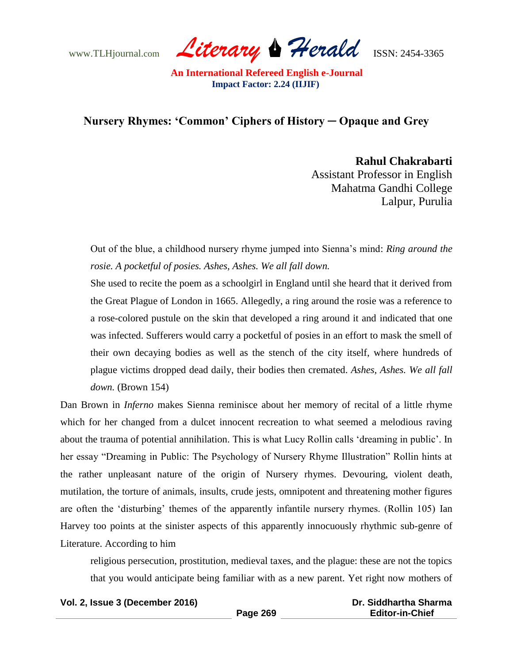www.TLHjournal.com *Literary Herald*ISSN: 2454-3365

## **Nursery Rhymes: 'Common' Ciphers of History ─ Opaque and Grey**

**Rahul Chakrabarti** Assistant Professor in English Mahatma Gandhi College Lalpur, Purulia

Out of the blue, a childhood nursery rhyme jumped into Sienna"s mind: *Ring around the rosie. A pocketful of posies. Ashes, Ashes. We all fall down.*

She used to recite the poem as a schoolgirl in England until she heard that it derived from the Great Plague of London in 1665. Allegedly, a ring around the rosie was a reference to a rose-colored pustule on the skin that developed a ring around it and indicated that one was infected. Sufferers would carry a pocketful of posies in an effort to mask the smell of their own decaying bodies as well as the stench of the city itself, where hundreds of plague victims dropped dead daily, their bodies then cremated. *Ashes, Ashes. We all fall down.* (Brown 154)

Dan Brown in *Inferno* makes Sienna reminisce about her memory of recital of a little rhyme which for her changed from a dulcet innocent recreation to what seemed a melodious raving about the trauma of potential annihilation. This is what Lucy Rollin calls "dreaming in public". In her essay "Dreaming in Public: The Psychology of Nursery Rhyme Illustration" Rollin hints at the rather unpleasant nature of the origin of Nursery rhymes. Devouring, violent death, mutilation, the torture of animals, insults, crude jests, omnipotent and threatening mother figures are often the "disturbing" themes of the apparently infantile nursery rhymes. (Rollin 105) Ian Harvey too points at the sinister aspects of this apparently innocuously rhythmic sub-genre of Literature. According to him

religious persecution, prostitution, medieval taxes, and the plague: these are not the topics that you would anticipate being familiar with as a new parent. Yet right now mothers of

**Vol. 2, Issue 3 (December 2016)**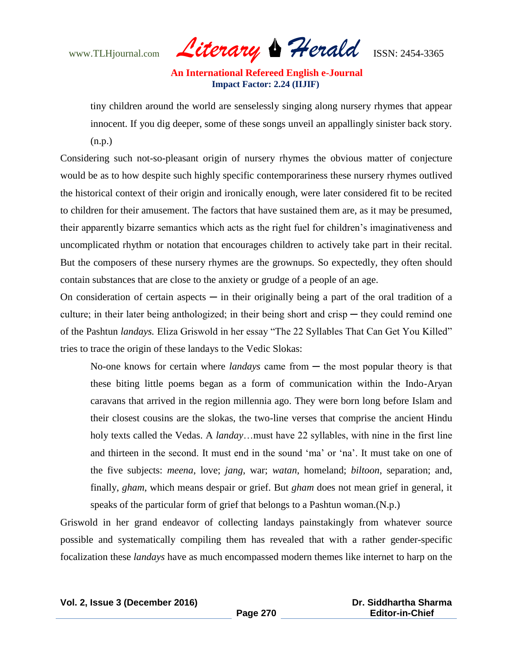www.TLHjournal.com *Literary Herald*ISSN: 2454-3365

tiny children around the world are senselessly singing along nursery rhymes that appear innocent. If you dig deeper, some of these songs unveil an appallingly sinister back story. (n.p.)

Considering such not-so-pleasant origin of nursery rhymes the obvious matter of conjecture would be as to how despite such highly specific contemporariness these nursery rhymes outlived the historical context of their origin and ironically enough, were later considered fit to be recited to children for their amusement. The factors that have sustained them are, as it may be presumed, their apparently bizarre semantics which acts as the right fuel for children"s imaginativeness and uncomplicated rhythm or notation that encourages children to actively take part in their recital. But the composers of these nursery rhymes are the grownups. So expectedly, they often should contain substances that are close to the anxiety or grudge of a people of an age.

On consideration of certain aspects  $\frac{1}{x}$  in their originally being a part of the oral tradition of a culture; in their later being anthologized; in their being short and crisp  $-$  they could remind one of the Pashtun *landays.* Eliza Griswold in her essay "The 22 Syllables That Can Get You Killed" tries to trace the origin of these landays to the Vedic Slokas:

No-one knows for certain where *landays* came from — the most popular theory is that these biting little poems began as a form of communication within the Indo-Aryan caravans that arrived in the region millennia ago. They were born long before Islam and their closest cousins are the slokas, the two-line verses that comprise the ancient Hindu holy texts called the Vedas. A *landay*…must have 22 syllables, with nine in the first line and thirteen in the second. It must end in the sound "ma" or "na". It must take on one of the five subjects: *meena*, love; *jang*, war; *watan*, homeland; *biltoon*, separation; and, finally, *gham*, which means despair or grief. But *gham* does not mean grief in general, it speaks of the particular form of grief that belongs to a Pashtun woman.(N.p.)

Griswold in her grand endeavor of collecting landays painstakingly from whatever source possible and systematically compiling them has revealed that with a rather gender-specific focalization these *landays* have as much encompassed modern themes like internet to harp on the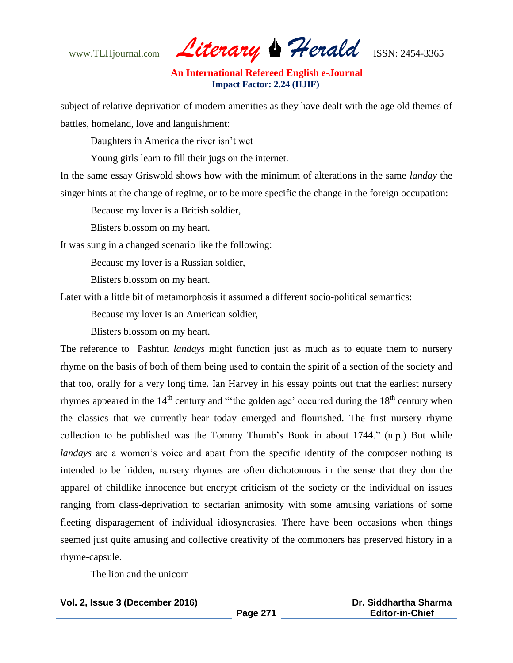www.TLHjournal.com *Literary Herald*ISSN: 2454-3365

subject of relative deprivation of modern amenities as they have dealt with the age old themes of battles, homeland, love and languishment:

Daughters in America the river isn"t wet

Young girls learn to fill their jugs on the internet.

In the same essay Griswold shows how with the minimum of alterations in the same *landay* the singer hints at the change of regime, or to be more specific the change in the foreign occupation:

Because my lover is a British soldier,

Blisters blossom on my heart.

It was sung in a changed scenario like the following:

Because my lover is a Russian soldier,

Blisters blossom on my heart.

Later with a little bit of metamorphosis it assumed a different socio-political semantics:

Because my lover is an American soldier,

Blisters blossom on my heart.

The reference to Pashtun *landays* might function just as much as to equate them to nursery rhyme on the basis of both of them being used to contain the spirit of a section of the society and that too, orally for a very long time. Ian Harvey in his essay points out that the earliest nursery rhymes appeared in the  $14<sup>th</sup>$  century and "the golden age' occurred during the  $18<sup>th</sup>$  century when the classics that we currently hear today emerged and flourished. The first nursery rhyme collection to be published was the Tommy Thumb"s Book in about 1744." (n.p.) But while *landays* are a women's voice and apart from the specific identity of the composer nothing is intended to be hidden, nursery rhymes are often dichotomous in the sense that they don the apparel of childlike innocence but encrypt criticism of the society or the individual on issues ranging from class-deprivation to sectarian animosity with some amusing variations of some fleeting disparagement of individual idiosyncrasies. There have been occasions when things seemed just quite amusing and collective creativity of the commoners has preserved history in a rhyme-capsule.

The lion and the unicorn

#### **Vol. 2, Issue 3 (December 2016)**

 **Dr. Siddhartha Sharma Editor-in-Chief**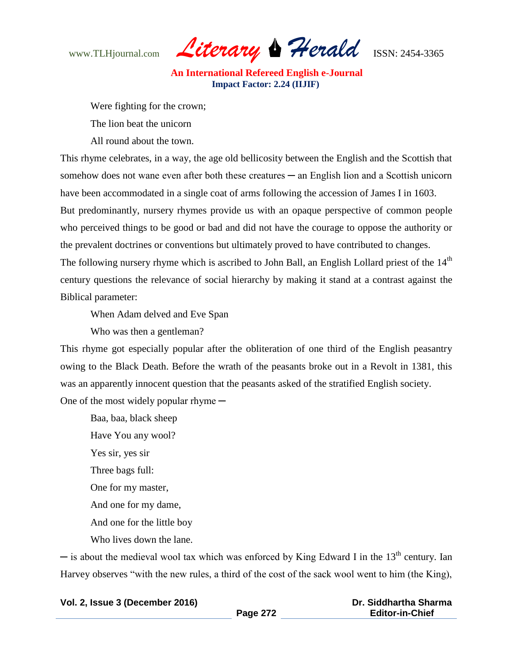www.TLHjournal.com *Literary Herald*ISSN: 2454-3365

Were fighting for the crown;

The lion beat the unicorn

All round about the town.

This rhyme celebrates, in a way, the age old bellicosity between the English and the Scottish that somehow does not wane even after both these creatures — an English lion and a Scottish unicorn have been accommodated in a single coat of arms following the accession of James I in 1603.

But predominantly, nursery rhymes provide us with an opaque perspective of common people who perceived things to be good or bad and did not have the courage to oppose the authority or the prevalent doctrines or conventions but ultimately proved to have contributed to changes.

The following nursery rhyme which is ascribed to John Ball, an English Lollard priest of the 14<sup>th</sup> century questions the relevance of social hierarchy by making it stand at a contrast against the Biblical parameter:

When Adam delved and Eve Span

Who was then a gentleman?

This rhyme got especially popular after the obliteration of one third of the English peasantry owing to the Black Death. Before the wrath of the peasants broke out in a Revolt in 1381, this was an apparently innocent question that the peasants asked of the stratified English society. One of the most widely popular rhyme  $-$ 

Baa, baa, black sheep Have You any wool? Yes sir, yes sir Three bags full: One for my master, And one for my dame, And one for the little boy Who lives down the lane.

 $-$  is about the medieval wool tax which was enforced by King Edward I in the 13<sup>th</sup> century. Ian Harvey observes "with the new rules, a third of the cost of the sack wool went to him (the King),

| Vol. 2, Issue 3 (December 2016) |          | Dr. Siddhartha Sharma  |
|---------------------------------|----------|------------------------|
|                                 | Page 272 | <b>Editor-in-Chief</b> |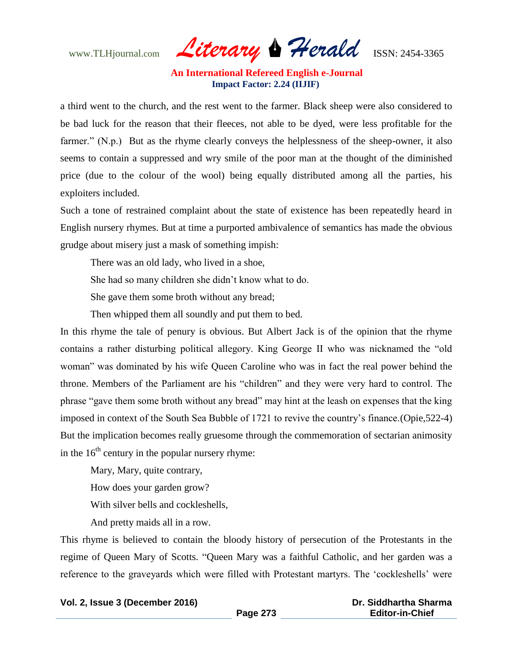www.TLHjournal.com *Literary Herald*ISSN: 2454-3365

a third went to the church, and the rest went to the farmer. Black sheep were also considered to be bad luck for the reason that their fleeces, not able to be dyed, were less profitable for the farmer." (N.p.) But as the rhyme clearly conveys the helplessness of the sheep-owner, it also seems to contain a suppressed and wry smile of the poor man at the thought of the diminished price (due to the colour of the wool) being equally distributed among all the parties, his exploiters included.

Such a tone of restrained complaint about the state of existence has been repeatedly heard in English nursery rhymes. But at time a purported ambivalence of semantics has made the obvious grudge about misery just a mask of something impish:

There was an old lady, who lived in a shoe,

She had so many children she didn"t know what to do.

She gave them some broth without any bread;

Then whipped them all soundly and put them to bed.

In this rhyme the tale of penury is obvious. But Albert Jack is of the opinion that the rhyme contains a rather disturbing political allegory. King George II who was nicknamed the "old woman" was dominated by his wife Queen Caroline who was in fact the real power behind the throne. Members of the Parliament are his "children" and they were very hard to control. The phrase "gave them some broth without any bread" may hint at the leash on expenses that the king imposed in context of the South Sea Bubble of 1721 to revive the country"s finance.(Opie,522-4) But the implication becomes really gruesome through the commemoration of sectarian animosity in the  $16<sup>th</sup>$  century in the popular nursery rhyme:

Mary, Mary, quite contrary, How does your garden grow? With silver bells and cockleshells,

And pretty maids all in a row.

This rhyme is believed to contain the bloody history of persecution of the Protestants in the regime of Queen Mary of Scotts. "Queen Mary was a faithful Catholic, and her garden was a reference to the graveyards which were filled with Protestant martyrs. The "cockleshells" were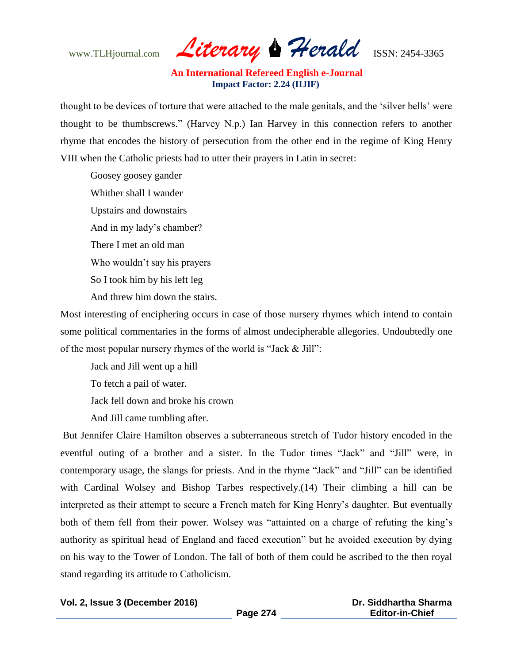www.TLHjournal.com *Literary Herald*ISSN: 2454-3365

thought to be devices of torture that were attached to the male genitals, and the "silver bells" were thought to be thumbscrews." (Harvey N.p.) Ian Harvey in this connection refers to another rhyme that encodes the history of persecution from the other end in the regime of King Henry VIII when the Catholic priests had to utter their prayers in Latin in secret:

Goosey goosey gander Whither shall I wander Upstairs and downstairs And in my lady"s chamber? There I met an old man Who wouldn"t say his prayers So I took him by his left leg And threw him down the stairs.

Most interesting of enciphering occurs in case of those nursery rhymes which intend to contain some political commentaries in the forms of almost undecipherable allegories. Undoubtedly one of the most popular nursery rhymes of the world is "Jack & Jill":

Jack and Jill went up a hill

To fetch a pail of water.

Jack fell down and broke his crown

And Jill came tumbling after.

But Jennifer Claire Hamilton observes a subterraneous stretch of Tudor history encoded in the eventful outing of a brother and a sister. In the Tudor times "Jack" and "Jill" were, in contemporary usage, the slangs for priests. And in the rhyme "Jack" and "Jill" can be identified with Cardinal Wolsey and Bishop Tarbes respectively.(14) Their climbing a hill can be interpreted as their attempt to secure a French match for King Henry"s daughter. But eventually both of them fell from their power. Wolsey was "attainted on a charge of refuting the king's authority as spiritual head of England and faced execution" but he avoided execution by dying on his way to the Tower of London. The fall of both of them could be ascribed to the then royal stand regarding its attitude to Catholicism.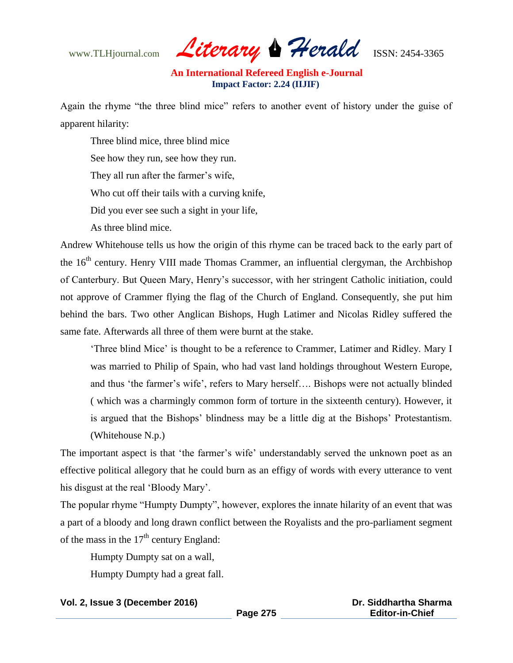www.TLHjournal.com *Literary Herald*ISSN: 2454-3365

Again the rhyme "the three blind mice" refers to another event of history under the guise of apparent hilarity:

Three blind mice, three blind mice See how they run, see how they run. They all run after the farmer's wife, Who cut off their tails with a curving knife, Did you ever see such a sight in your life, As three blind mice.

Andrew Whitehouse tells us how the origin of this rhyme can be traced back to the early part of the  $16<sup>th</sup>$  century. Henry VIII made Thomas Crammer, an influential clergyman, the Archbishop of Canterbury. But Queen Mary, Henry"s successor, with her stringent Catholic initiation, could not approve of Crammer flying the flag of the Church of England. Consequently, she put him behind the bars. Two other Anglican Bishops, Hugh Latimer and Nicolas Ridley suffered the same fate. Afterwards all three of them were burnt at the stake.

"Three blind Mice" is thought to be a reference to Crammer, Latimer and Ridley. Mary I was married to Philip of Spain, who had vast land holdings throughout Western Europe, and thus 'the farmer's wife', refers to Mary herself.... Bishops were not actually blinded ( which was a charmingly common form of torture in the sixteenth century). However, it is argued that the Bishops" blindness may be a little dig at the Bishops" Protestantism. (Whitehouse N.p.)

The important aspect is that 'the farmer's wife' understandably served the unknown poet as an effective political allegory that he could burn as an effigy of words with every utterance to vent his disgust at the real 'Bloody Mary'.

The popular rhyme "Humpty Dumpty", however, explores the innate hilarity of an event that was a part of a bloody and long drawn conflict between the Royalists and the pro-parliament segment of the mass in the  $17<sup>th</sup>$  century England:

Humpty Dumpty sat on a wall,

Humpty Dumpty had a great fall.

### **Vol. 2, Issue 3 (December 2016)**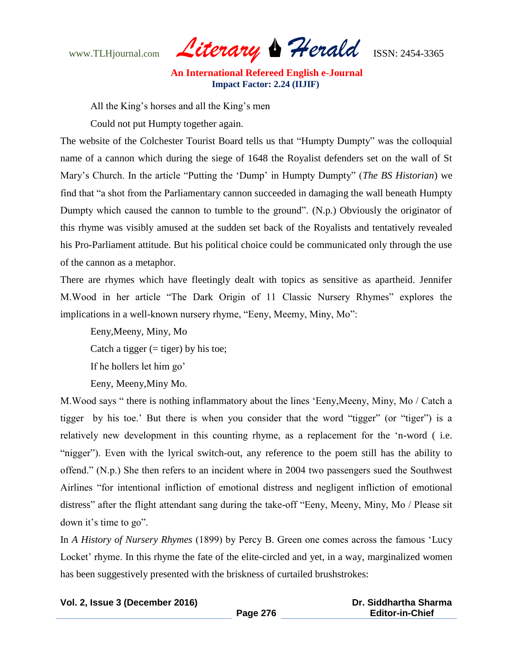www.TLHjournal.com *Literary Herald*ISSN: 2454-3365

All the King"s horses and all the King"s men

Could not put Humpty together again.

The website of the Colchester Tourist Board tells us that "Humpty Dumpty" was the colloquial name of a cannon which during the siege of 1648 the Royalist defenders set on the wall of St Mary"s Church. In the article "Putting the "Dump" in Humpty Dumpty" (*The BS Historian*) we find that "a shot from the Parliamentary cannon succeeded in damaging the wall beneath Humpty Dumpty which caused the cannon to tumble to the ground". (N.p.) Obviously the originator of this rhyme was visibly amused at the sudden set back of the Royalists and tentatively revealed his Pro-Parliament attitude. But his political choice could be communicated only through the use of the cannon as a metaphor.

There are rhymes which have fleetingly dealt with topics as sensitive as apartheid. Jennifer M.Wood in her article "The Dark Origin of 11 Classic Nursery Rhymes" explores the implications in a well-known nursery rhyme, "Eeny, Meemy, Miny, Mo":

Eeny,Meeny, Miny, Mo Catch a tigger  $(=$  tiger) by his toe; If he hollers let him go' Eeny, Meeny,Miny Mo.

M.Wood says " there is nothing inflammatory about the lines "Eeny,Meeny, Miny, Mo / Catch a tigger by his toe." But there is when you consider that the word "tigger" (or "tiger") is a relatively new development in this counting rhyme, as a replacement for the "n-word ( i.e. "nigger"). Even with the lyrical switch-out, any reference to the poem still has the ability to offend." (N.p.) She then refers to an incident where in 2004 two passengers sued the Southwest Airlines "for intentional infliction of emotional distress and negligent infliction of emotional distress" after the flight attendant sang during the take-off "Eeny, Meeny, Miny, Mo / Please sit down it's time to go".

In *A History of Nursery Rhymes* (1899) by Percy B. Green one comes across the famous "Lucy Locket' rhyme. In this rhyme the fate of the elite-circled and yet, in a way, marginalized women has been suggestively presented with the briskness of curtailed brushstrokes: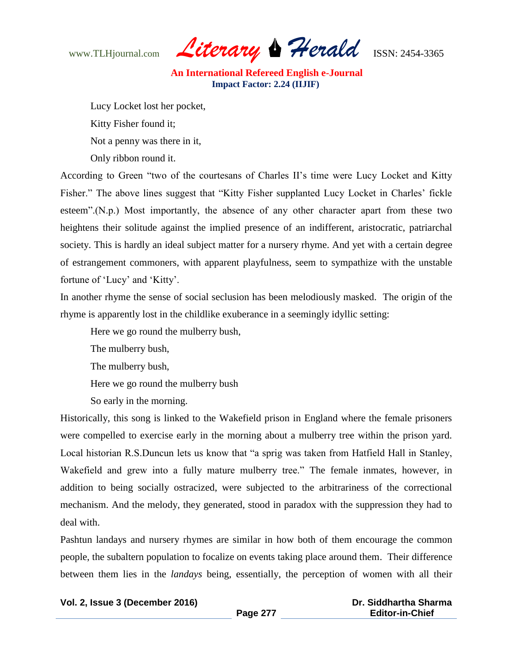www.TLHjournal.com *Literary Herald*ISSN: 2454-3365

Lucy Locket lost her pocket,

Kitty Fisher found it;

Not a penny was there in it,

Only ribbon round it.

According to Green "two of the courtesans of Charles II"s time were Lucy Locket and Kitty Fisher." The above lines suggest that "Kitty Fisher supplanted Lucy Locket in Charles' fickle esteem".(N.p.) Most importantly, the absence of any other character apart from these two heightens their solitude against the implied presence of an indifferent, aristocratic, patriarchal society. This is hardly an ideal subject matter for a nursery rhyme. And yet with a certain degree of estrangement commoners, with apparent playfulness, seem to sympathize with the unstable fortune of 'Lucy' and 'Kitty'.

In another rhyme the sense of social seclusion has been melodiously masked. The origin of the rhyme is apparently lost in the childlike exuberance in a seemingly idyllic setting:

Here we go round the mulberry bush,

The mulberry bush,

The mulberry bush,

Here we go round the mulberry bush

So early in the morning.

Historically, this song is linked to the Wakefield prison in England where the female prisoners were compelled to exercise early in the morning about a mulberry tree within the prison yard. Local historian R.S.Duncun lets us know that "a sprig was taken from Hatfield Hall in Stanley, Wakefield and grew into a fully mature mulberry tree." The female inmates, however, in addition to being socially ostracized, were subjected to the arbitrariness of the correctional mechanism. And the melody, they generated, stood in paradox with the suppression they had to deal with.

Pashtun landays and nursery rhymes are similar in how both of them encourage the common people, the subaltern population to focalize on events taking place around them. Their difference between them lies in the *landays* being, essentially, the perception of women with all their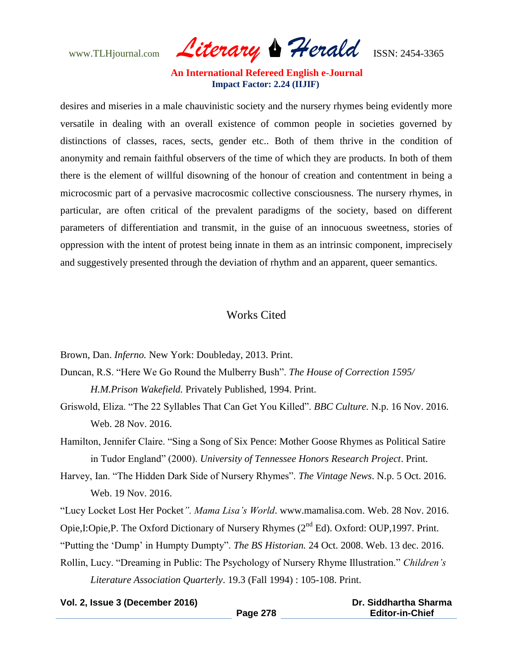www.TLHjournal.com *Literary Herald*ISSN: 2454-3365

desires and miseries in a male chauvinistic society and the nursery rhymes being evidently more versatile in dealing with an overall existence of common people in societies governed by distinctions of classes, races, sects, gender etc.. Both of them thrive in the condition of anonymity and remain faithful observers of the time of which they are products. In both of them there is the element of willful disowning of the honour of creation and contentment in being a microcosmic part of a pervasive macrocosmic collective consciousness. The nursery rhymes, in particular, are often critical of the prevalent paradigms of the society, based on different parameters of differentiation and transmit, in the guise of an innocuous sweetness, stories of oppression with the intent of protest being innate in them as an intrinsic component, imprecisely and suggestively presented through the deviation of rhythm and an apparent, queer semantics.

## Works Cited

Brown, Dan. *Inferno.* New York: Doubleday, 2013. Print.

Duncan, R.S. "Here We Go Round the Mulberry Bush". *The House of Correction 1595/ H.M.Prison Wakefield.* Privately Published, 1994. Print.

- Griswold, Eliza. "The 22 Syllables That Can Get You Killed". *BBC Culture.* N.p. 16 Nov. 2016. Web. 28 Nov. 2016.
- Hamilton, Jennifer Claire. "Sing a Song of Six Pence: Mother Goose Rhymes as Political Satire in Tudor England" (2000). *University of Tennessee Honors Research Project*. Print.
- Harvey, Ian. "The Hidden Dark Side of Nursery Rhymes". *The Vintage News*. N.p. 5 Oct. 2016. Web. 19 Nov. 2016.

"Lucy Locket Lost Her Pocket*". Mama Lisa's World*. [www.mamalisa.com.](http://www.mamalisa.com/) Web. 28 Nov. 2016.

Opie,I:Opie,P. The Oxford Dictionary of Nursery Rhymes (2<sup>nd</sup> Ed). Oxford: OUP,1997. Print.

"Putting the "Dump" in Humpty Dumpty". *The BS Historian.* 24 Oct. 2008. Web. 13 dec. 2016.

Rollin, Lucy. "Dreaming in Public: The Psychology of Nursery Rhyme Illustration." *Children's* 

*Literature Association Quarterly*. 19.3 (Fall 1994) : 105-108. Print.

| Vol. 2, Issue 3 (December 2016) |  |  |
|---------------------------------|--|--|
|---------------------------------|--|--|